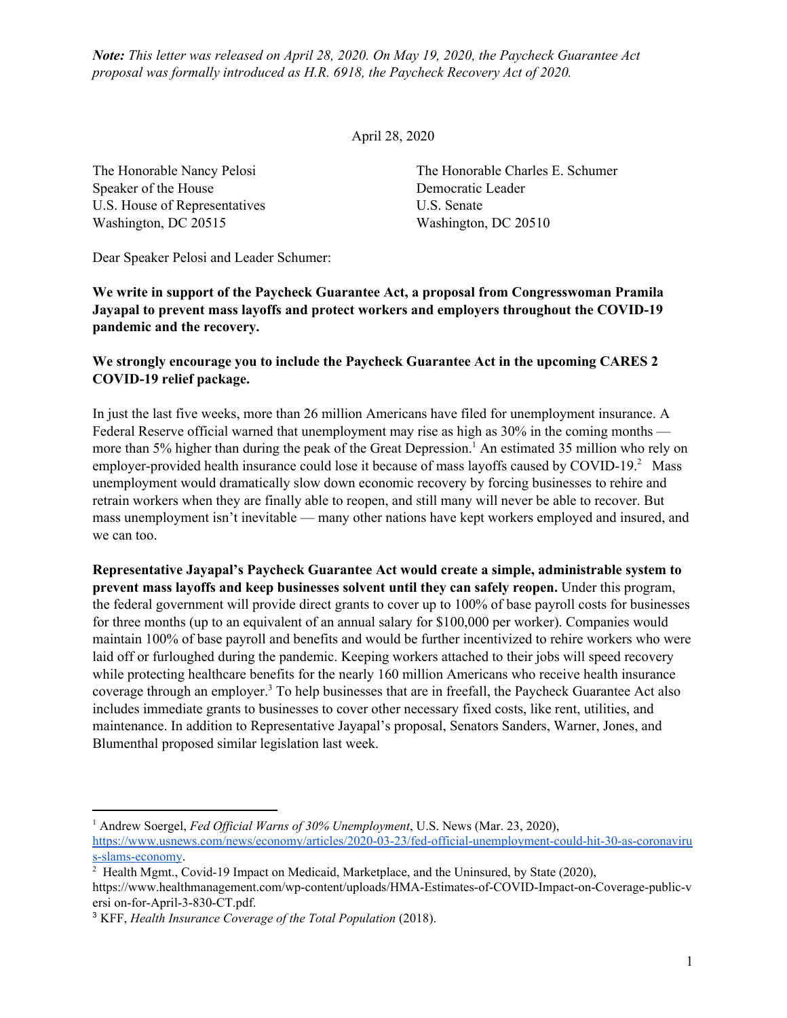*Note: This letter was released on April 28, 2020. On May 19, 2020, the Paycheck Guarantee Act proposal was formally introduced as H.R. 6918, the Paycheck Recovery Act of 2020.*

April 28, 2020

Speaker of the House Democratic Leader U.S. House of Representatives U.S. Senate Washington, DC 20515 Washington, DC 20510

The Honorable Nancy Pelosi The Honorable Charles E. Schumer

Dear Speaker Pelosi and Leader Schumer:

**We write in support of the Paycheck Guarantee Act, a proposal from Congresswoman Pramila Jayapal to prevent mass layoffs and protect workers and employers throughout the COVID-19 pandemic and the recovery.**

## **We strongly encourage you to include the Paycheck Guarantee Act in the upcoming CARES 2 COVID-19 relief package.**

In just the last five weeks, more than 26 million Americans have filed for unemployment insurance. A Federal Reserve official warned that unemployment may rise as high as 30% in the coming months more than 5% higher than during the peak of the Great Depression.<sup>1</sup> An estimated 35 million who rely on employer-provided health insurance could lose it because of mass layoffs caused by COVID-19.<sup>2</sup> Mass unemployment would dramatically slow down economic recovery by forcing businesses to rehire and retrain workers when they are finally able to reopen, and still many will never be able to recover. But mass unemployment isn't inevitable — many other nations have kept workers employed and insured, and we can too.

**Representative Jayapal's Paycheck Guarantee Act would create a simple, administrable system to prevent mass layoffs and keep businesses solvent until they can safely reopen.** Under this program, the federal government will provide direct grants to cover up to 100% of base payroll costs for businesses for three months (up to an equivalent of an annual salary for \$100,000 per worker). Companies would maintain 100% of base payroll and benefits and would be further incentivized to rehire workers who were laid off or furloughed during the pandemic. Keeping workers attached to their jobs will speed recovery while protecting healthcare benefits for the nearly 160 million Americans who receive health insurance coverage through an employer.<sup>3</sup> To help businesses that are in freefall, the Paycheck Guarantee Act also includes immediate grants to businesses to cover other necessary fixed costs, like rent, utilities, and maintenance. In addition to Representative Jayapal's proposal, Senators Sanders, Warner, Jones, and Blumenthal proposed similar legislation last week.

<sup>&</sup>lt;sup>1</sup> Andrew Soergel, *Fed Official Warns of 30% Unemployment*, U.S. News (Mar. 23, 2020), [https://www.usnews.com/news/economy/articles/2020-03-23/fed-official-unemployment-could-hit-30-as-coronaviru](https://www.usnews.com/news/economy/articles/2020-03-23/fed-official-unemployment-could-hit-30-as-coronavirus-slams-economy) [s-slams-economy.](https://www.usnews.com/news/economy/articles/2020-03-23/fed-official-unemployment-could-hit-30-as-coronavirus-slams-economy)

<sup>&</sup>lt;sup>2</sup> Health Mgmt., Covid-19 Impact on Medicaid, Marketplace, and the Uninsured, by State (2020),

https://www.healthmanagement.com/wp-content/uploads/HMA-Estimates-of-COVID-Impact-on-Coverage-public-v ersi on-for-April-3-830-CT.pdf.

<sup>3</sup> KFF, *Health Insurance Coverage of the Total Population* (2018).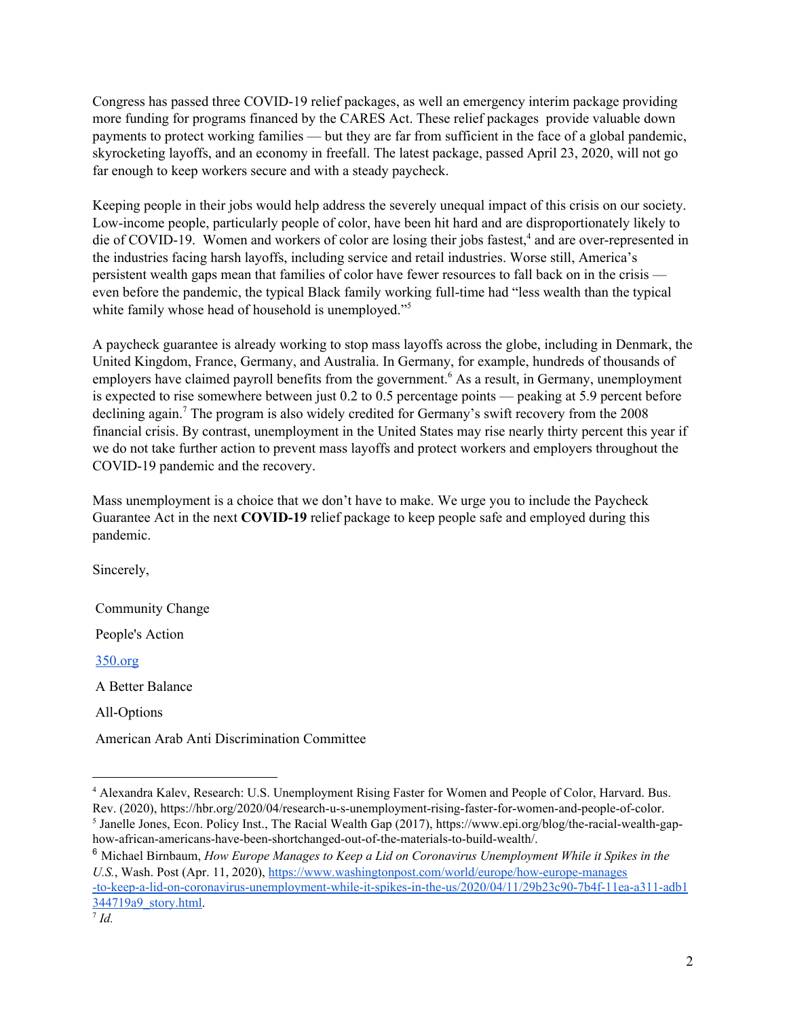Congress has passed three COVID-19 relief packages, as well an emergency interim package providing more funding for programs financed by the CARES Act. These relief packages provide valuable down payments to protect working families — but they are far from sufficient in the face of a global pandemic, skyrocketing layoffs, and an economy in freefall. The latest package, passed April 23, 2020, will not go far enough to keep workers secure and with a steady paycheck.

Keeping people in their jobs would help address the severely unequal impact of this crisis on our society. Low-income people, particularly people of color, have been hit hard and are disproportionately likely to die of COVID-19. Women and workers of color are losing their jobs fastest,<sup>4</sup> and are over-represented in the industries facing harsh layoffs, including service and retail industries. Worse still, America's persistent wealth gaps mean that families of color have fewer resources to fall back on in the crisis even before the pandemic, the typical Black family working full-time had "less wealth than the typical white family whose head of household is unemployed."<sup>5</sup>

A paycheck guarantee is already working to stop mass layoffs across the globe, including in Denmark, the United Kingdom, France, Germany, and Australia. In Germany, for example, hundreds of thousands of employers have claimed payroll benefits from the government.<sup>6</sup> As a result, in Germany, unemployment is expected to rise somewhere between just 0.2 to 0.5 percentage points — peaking at 5.9 percent before declining again.<sup>7</sup> The program is also widely credited for Germany's swift recovery from the 2008 financial crisis. By contrast, unemployment in the United States may rise nearly thirty percent this year if we do not take further action to prevent mass layoffs and protect workers and employers throughout the COVID-19 pandemic and the recovery.

Mass unemployment is a choice that we don't have to make. We urge you to include the Paycheck Guarantee Act in the next **COVID-19** relief package to keep people safe and employed during this pandemic.

Sincerely,

Community Change

People's Action

[350.org](http://350.org/)

A Better Balance

All-Options

American Arab Anti Discrimination Committee

<sup>4</sup> Alexandra Kalev, Research: U.S. Unemployment Rising Faster for Women and People of Color, Harvard. Bus. Rev. (2020), <https://hbr.org/2020/04/research-u-s-unemployment-rising-faster-for-women-and-people-of-color>. <sup>5</sup> Janelle Jones, Econ. Policy Inst., The Racial Wealth Gap (2017), [https://www.epi.org/blog/the-racial-wealth-gap](https://www.epi.org/blog/the-racial-wealth-gap-how-african-americans-have-been-shortchanged-out-of-the-materials-to-build-wealth/)[how-african-americans-have-been-shortchanged-out-of-the-materials-to-build-wealth/](https://www.epi.org/blog/the-racial-wealth-gap-how-african-americans-have-been-shortchanged-out-of-the-materials-to-build-wealth/).

<sup>6</sup> Michael Birnbaum, *How Europe Manages to Keep a Lid on Coronavirus Unemployment While it Spikes in the U.S.*, Wash. Post (Apr. 11, 2020), [https://www.washingtonpost.com/world/europe/how-europe-manages](https://www.washingtonpost.com/world/europe/how-europe-manages-to-keep-a-lid-on-coronavirus-unemployment-while-it-spikes-in-the-us/2020/04/11/29b23c90-7b4f-11ea-a311-adb1344719a9_story.html) [-to-keep-a-lid-on-coronavirus-unemployment-while-it-spikes-in-the-us/2020/04/11/29b23c90-7b4f-11ea-a311-adb1](https://www.washingtonpost.com/world/europe/how-europe-manages-to-keep-a-lid-on-coronavirus-unemployment-while-it-spikes-in-the-us/2020/04/11/29b23c90-7b4f-11ea-a311-adb1344719a9_story.html) [344719a9\\_story.html.](https://www.washingtonpost.com/world/europe/how-europe-manages-to-keep-a-lid-on-coronavirus-unemployment-while-it-spikes-in-the-us/2020/04/11/29b23c90-7b4f-11ea-a311-adb1344719a9_story.html)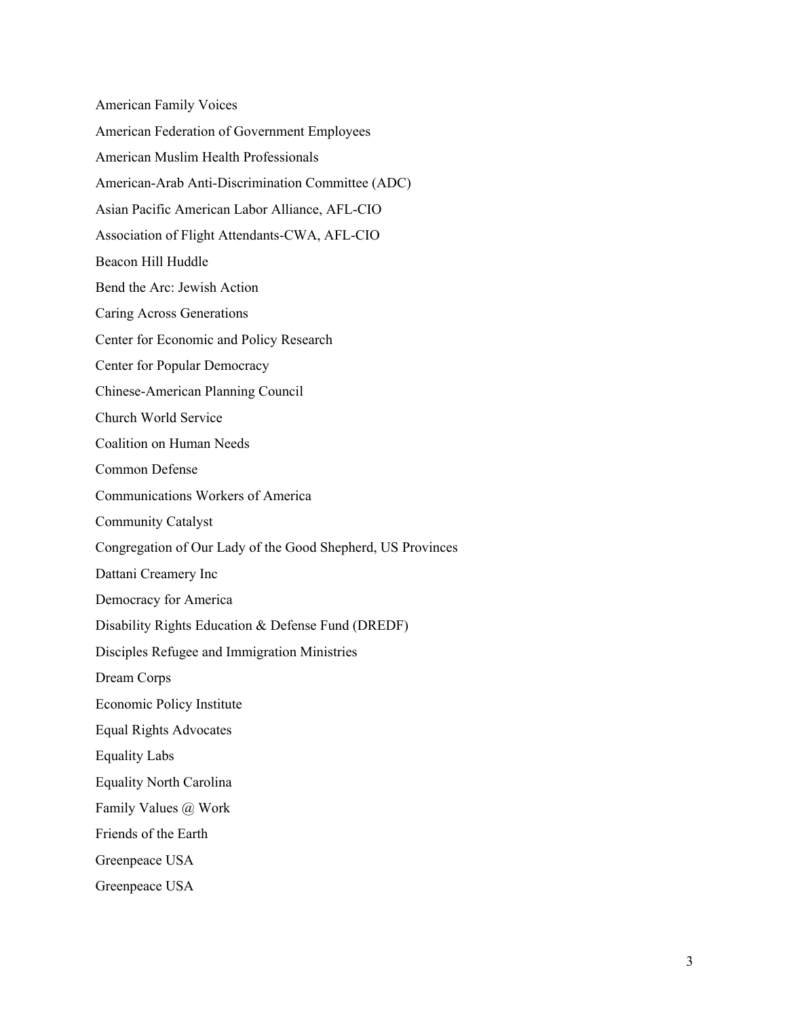American Family Voices American Federation of Government Employees American Muslim Health Professionals American-Arab Anti-Discrimination Committee (ADC) Asian Pacific American Labor Alliance, AFL-CIO Association of Flight Attendants-CWA, AFL-CIO Beacon Hill Huddle Bend the Arc: Jewish Action Caring Across Generations Center for Economic and Policy Research Center for Popular Democracy Chinese-American Planning Council Church World Service Coalition on Human Needs Common Defense Communications Workers of America Community Catalyst Congregation of Our Lady of the Good Shepherd, US Provinces Dattani Creamery Inc Democracy for America Disability Rights Education & Defense Fund (DREDF) Disciples Refugee and Immigration Ministries Dream Corps Economic Policy Institute Equal Rights Advocates Equality Labs Equality North Carolina Family Values @ Work Friends of the Earth Greenpeace USA Greenpeace USA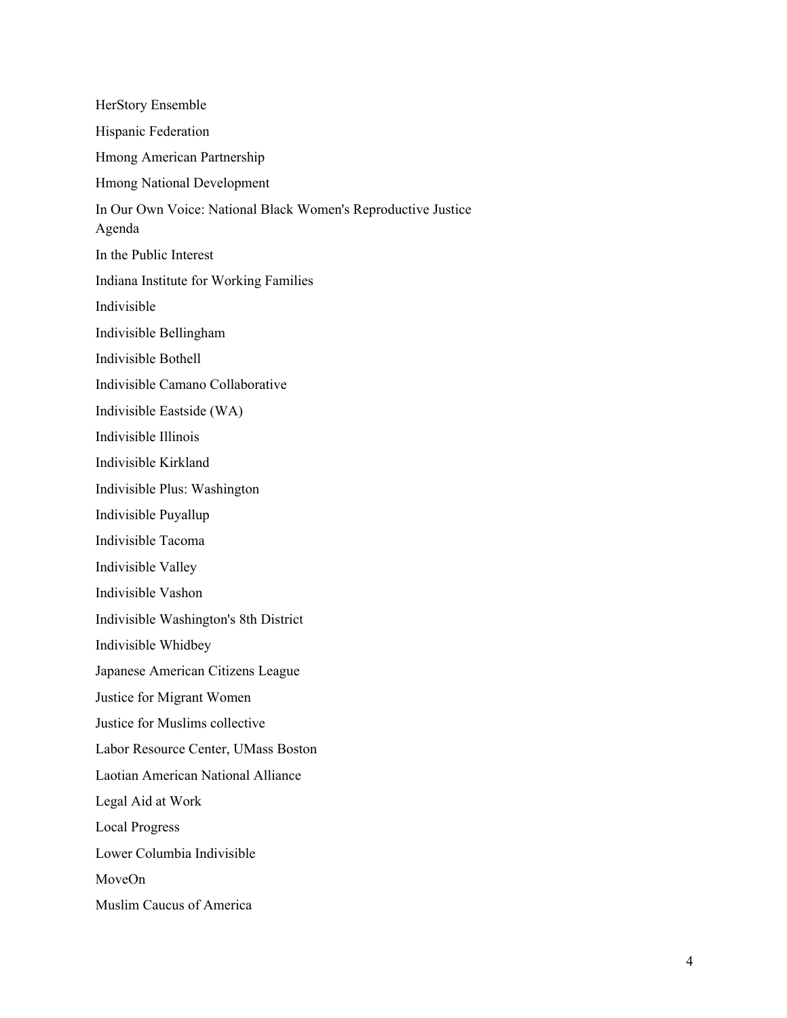HerStory Ensemble Hispanic Federation Hmong American Partnership Hmong National Development In Our Own Voice: National Black Women's Reproductive Justice Agenda In the Public Interest Indiana Institute for Working Families Indivisible Indivisible Bellingham Indivisible Bothell Indivisible Camano Collaborative Indivisible Eastside (WA) Indivisible Illinois Indivisible Kirkland Indivisible Plus: Washington Indivisible Puyallup Indivisible Tacoma Indivisible Valley Indivisible Vashon Indivisible Washington's 8th District Indivisible Whidbey Japanese American Citizens League Justice for Migrant Women Justice for Muslims collective Labor Resource Center, UMass Boston Laotian American National Alliance Legal Aid at Work Local Progress Lower Columbia Indivisible MoveOn Muslim Caucus of America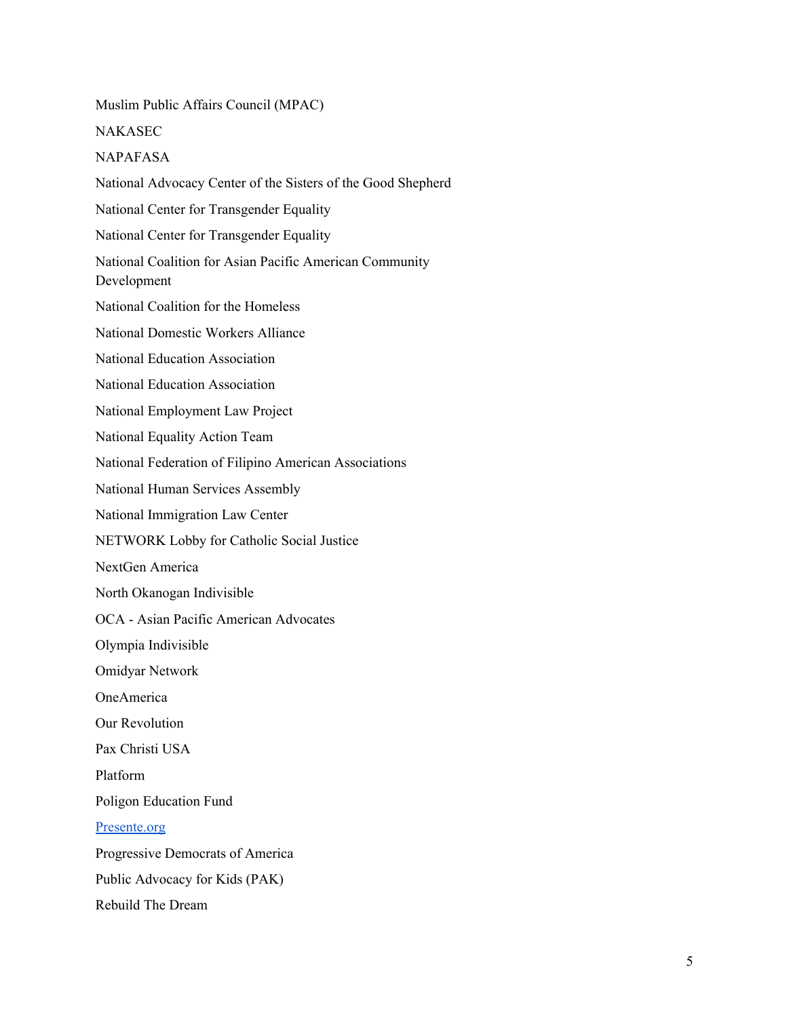Muslim Public Affairs Council (MPAC) NAKASEC NAPAFASA National Advocacy Center of the Sisters of the Good Shepherd National Center for Transgender Equality National Center for Transgender Equality National Coalition for Asian Pacific American Community Development National Coalition for the Homeless National Domestic Workers Alliance National Education Association National Education Association National Employment Law Project National Equality Action Team National Federation of Filipino American Associations National Human Services Assembly National Immigration Law Center NETWORK Lobby for Catholic Social Justice NextGen America North Okanogan Indivisible OCA - Asian Pacific American Advocates Olympia Indivisible Omidyar Network OneAmerica Our Revolution Pax Christi USA Platform Poligon Education Fund [Presente.org](http://presente.org/) Progressive Democrats of America Public Advocacy for Kids (PAK) Rebuild The Dream